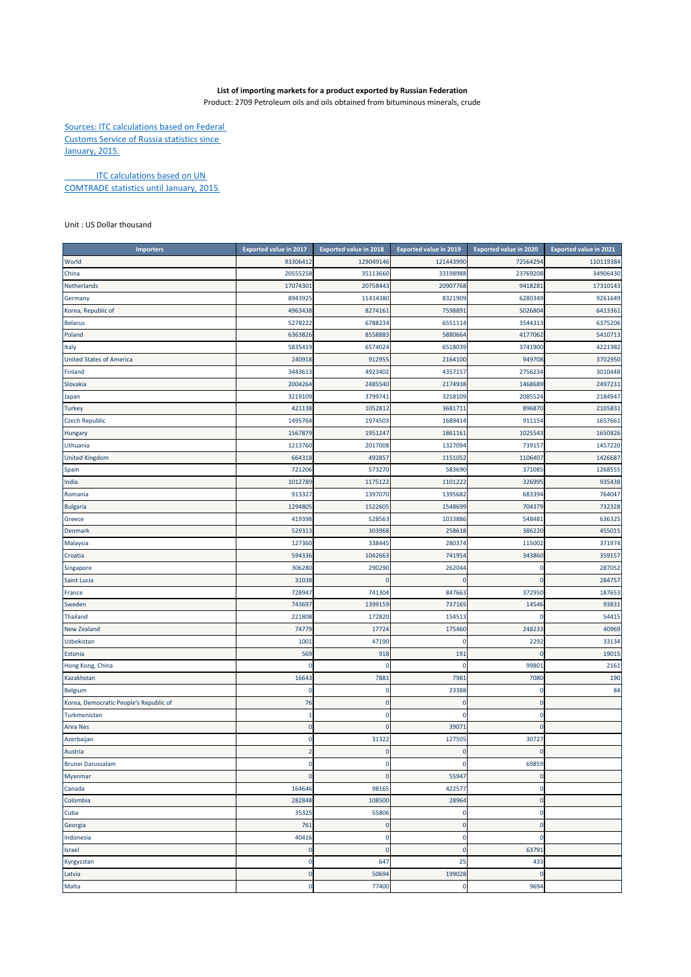## **List of importing markets for a product exported by Russian Federation**

Product: 2709 Petroleum oils and oils obtained from bituminous minerals, crude

Sources: ITC calculations based on Federal Customs Service of Russia statistics since January, 2015.

**ITC calculations based on UN** COMTRADE statistics until January, 2015.

Unit : US Dollar thousand

| <b>Importers</b>                       | <b>Exported value in 2017</b> | <b>Exported value in 2018</b> | <b>Exported value in 2019</b> | <b>Exported value in 2020</b> | <b>Exported value in 2021</b> |
|----------------------------------------|-------------------------------|-------------------------------|-------------------------------|-------------------------------|-------------------------------|
| World                                  | 93306412                      | 129049146                     | 121443990                     | 72564294                      | 110119384                     |
| China                                  | 20555258                      | 35113660                      | 33198988                      | 23769208                      | 34906430                      |
| Netherlands                            | 17074301                      | 20758443                      | 20907768                      | 941828                        | 17310143                      |
| Germany                                | 8943925                       | 11414380                      | 8321909                       | 6280349                       | 9261649                       |
| Korea, Republic of                     | 4963438                       | 8274161                       | 7598891                       | 502680                        | 6413361                       |
| <b>Belarus</b>                         | 5278222                       | 6788234                       | 6551114                       | 3544313                       | 6375206                       |
| Poland                                 | 6363826                       | 8558883                       | 5880664                       | 4177062                       | 5410713                       |
| Italy                                  | 5835419                       | 6574024                       | 6518039                       | 3741900                       | 4221982                       |
| <b>United States of America</b>        | 240918                        | 912955                        | 2164100                       | 949708                        | 3702950                       |
| Finland                                | 3443613                       | 4923402                       | 4357157                       | 2756234                       | 3010448                       |
| Slovakia                               | 2004264                       | 2485540                       | 2174938                       | 1468689                       | 2497231                       |
| Japan                                  | 3219109                       | 3799741                       | 3218109                       | 2085524                       | 2184947                       |
| <b>Turkey</b>                          | 421138                        | 1052812                       | 3681711                       | 896870                        | 2105831                       |
| <b>Czech Republic</b>                  | 1495764                       | 1974503                       | 1689414                       | 911154                        | 1657661                       |
| Hungary                                | 1567879                       | 195124                        | 1861161                       | 102554                        | 1650826                       |
| Lithuania                              | 1213760                       | 2017008                       | 1327094                       | 739157                        | 1457220                       |
| <b>United Kingdom</b>                  | 664318                        | 492857                        | 1151052                       | 1106407                       | 1426687                       |
| Spain                                  | 721206                        | 573270                        | 583690                        | 371085                        | 1268555                       |
| India                                  | 1012789                       | 117512                        | 1101222                       | 32699                         | 935438                        |
| Romania                                | 913327                        | 1397070                       | 1395682                       | 683394                        | 764047                        |
| <b>Bulgaria</b>                        | 1294805                       | 1522605                       | 1548699                       | 704379                        | 732328                        |
| Greece                                 | 419398                        | 528563                        | 1033886                       | 54848                         | 636325                        |
| Denmark                                | 52931                         | 303968                        | 258618                        | 38622                         | 455015                        |
| Malaysia                               | 127360                        | 338445                        | 280374                        | 115002                        | 371974                        |
| Croatia                                | 594336                        | 1042663                       | 741954                        | 343860                        | 359157                        |
| Singapore                              | 306280                        | 290290                        | 262044                        | C                             | 287052                        |
| Saint Lucia                            | 31038                         | $\Omega$                      | C                             |                               | 284757                        |
| France                                 | 728947                        | 741304                        | 847663                        | 372950                        | 187653                        |
| Sweden                                 | 743697                        | 1399159                       | 737165                        | 14546                         | 93831                         |
| <b>Thailand</b>                        | 221808                        | 172820                        | 154513                        |                               | 54415                         |
| New Zealand                            | 74779                         | 17724                         | 175460                        | 24823                         | 40969                         |
| Uzbekistan                             | 1001                          | 47190                         | C                             | 2292                          | 33134                         |
| Estonia                                | 569                           | 918                           | 191                           | n                             | 19015                         |
| Hong Kong, China                       | 0                             | 0                             | $\mathbf 0$                   | 99801                         | 2161                          |
| Kazakhstan                             | 16643                         | 7881                          | 7981                          | 7080                          | 190                           |
| Belgium                                | 0                             | 0                             | 23388                         | O                             | 84                            |
| Korea, Democratic People's Republic of | 76                            | $\mathbf{0}$                  | C                             | $\Omega$                      |                               |
| Turkmenistan                           | $\mathbf{1}$                  | $\Omega$                      | 0                             | $\mathbf 0$                   |                               |
| <b>Area Nes</b>                        | 0                             | $\mathbf{0}$                  | 39071                         | $\mathbf 0$                   |                               |
| Azerbaijan                             | 0                             | 31322                         | 127505                        | 30727                         |                               |
| Austria                                |                               | $\Omega$                      | C                             | n                             |                               |
| Brunei Darussalam                      | $\bf{0}$                      | 0                             | 0                             | 69859                         |                               |
| Myanmar                                | $\mathbf 0$                   | $\mathbf{0}$                  | 55947                         | $\mathbf 0$                   |                               |
| Canada                                 | 164646                        | 98165                         | 422577                        | $\mathbf 0$                   |                               |
| Colombia                               | 282848                        | 108500                        | 28964                         | $\mathbf 0$                   |                               |
| Cuba                                   | 35325                         | 55806                         | $\mathbf 0$                   | $\mathbf 0$                   |                               |
| Georgia                                | 761                           | $\mathbf 0$                   | $\mathbf 0$                   | $\mathbf 0$                   |                               |
| Indonesia                              | 40416                         | 0                             | 0                             | $\mathbf 0$                   |                               |
| Israel                                 | $\mathbf 0$                   | $\mathbf{0}$                  | $\mathbf 0$                   | 63791                         |                               |
| Kyrgyzstan                             | $\mathbf 0$                   | 647                           | 25                            | 433                           |                               |
| Latvia                                 | $\pmb{0}$                     | 50694                         | 199028                        | $\mathbf 0$                   |                               |
| Malta                                  | $\pmb{0}$                     | 77400                         | 0                             | 9694                          |                               |